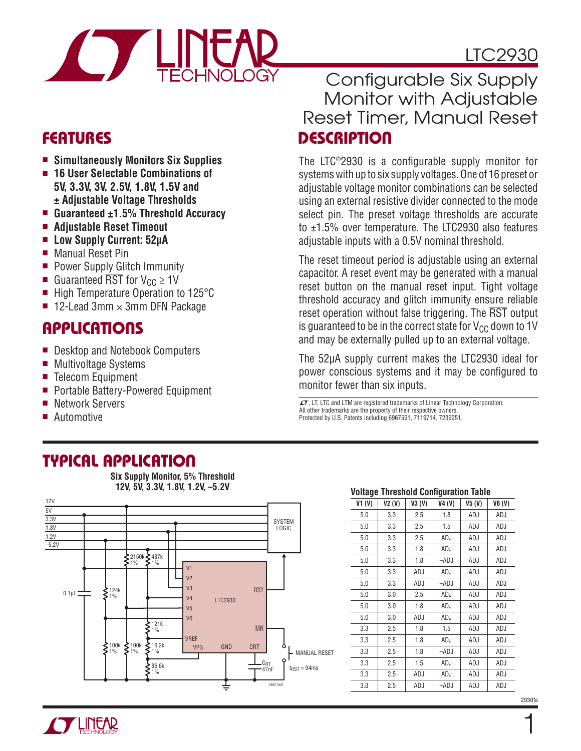

# LTC2930

### **FEATURES**

- **Simultaneously Monitors Six Supplies**
- **16 User Selectable Combinations of 5V, 3.3V, 3V, 2.5V, 1.8V, 1.5V and ± Adjustable Voltage Thresholds**
- **Guaranteed ±1.5% Threshold Accuracy**
- **Adjustable Reset Timeout**
- **Low Supply Current: 52μA**
- Manual Reset Pin
- Power Supply Glitch Immunity
- Guaranteed  $\overline{\text{RST}}$  for  $V_{\text{CC}} \geq 1$ V
- High Temperature Operation to 125°C
- 12-Lead 3mm  $\times$  3mm DFN Package

### **APPLICATIONS**

- Desktop and Notebook Computers
- Multivoltage Systems
- Telecom Equipment
- Portable Battery-Powered Equipment
- Network Servers
- Automotive

### **DESCRIPTION** Configurable Six Supply Monitor with Adjustable Reset Timer, Manual Reset

The LTC<sup>®</sup>2930 is a configurable supply monitor for systems with up to six supply voltages. One of 16 preset or adjustable voltage monitor combinations can be selected using an external resistive divider connected to the mode select pin. The preset voltage thresholds are accurate to ±1.5% over temperature. The LTC2930 also features adjustable inputs with a 0.5V nominal threshold.

The reset timeout period is adjustable using an external capacitor. A reset event may be generated with a manual reset button on the manual reset input. Tight voltage threshold accuracy and glitch immunity ensure reliable reset operation without false triggering. The RST output is guaranteed to be in the correct state for  $V_{CC}$  down to 1V and may be externally pulled up to an external voltage.

The 52μA supply current makes the LTC2930 ideal for power conscious systems and it may be configured to monitor fewer than six inputs.

 $I$ , LT, LTC and LTM are registered trademarks of Linear Technology Corporation. All other trademarks are the property of their respective owners. Protected by U.S. Patents including 6967591, 7119714, 7239251.

### **TYPICAL APPLICATION**

**Six Supply Monitor, 5% Threshold 12V, 5V, 3.3V, 1.8V, 1.2V, –5.2V**



#### **Voltage Threshold Configuration Table**

| VI(V) | V2(V) | V3(V)      | V4(V)      | V5(V)      | V6(V)      |
|-------|-------|------------|------------|------------|------------|
| 5.0   | 3.3   | 2.5        | 1.8        | ADJ        | ADJ        |
| 5.0   | 3.3   | 2.5        | 1.5        | <b>ADJ</b> | <b>ADJ</b> |
| 5.0   | 3.3   | 2.5        | ADJ        | ADJ        | ADJ        |
| 5.0   | 3.3   | 1.8        | ADJ        | <b>ADJ</b> | <b>ADJ</b> |
| 5.0   | 3.3   | 1.8        | $-ADJ$     | ADJ        | ADJ        |
| 5.0   | 3.3   | ADJ        | ADJ        | ADJ        | ADJ        |
| 5.0   | 3.3   | ADJ        | $-ADJ$     | ADJ        | ADJ        |
| 5.0   | 3.0   | 2.5        | ADJ        | ADJ        | ADJ        |
| 5.0   | 3.0   | 1.8        | ADJ        | ADJ        | <b>ADJ</b> |
| 5.0   | 3.0   | ADJ        | ADJ        | ADJ        | ADJ        |
| 3.3   | 2.5   | 1.8        | 1.5        | ADJ        | <b>ADJ</b> |
| 3.3   | 2.5   | 1.8        | ADJ        | ADJ        | ADJ        |
| 3.3   | 2.5   | 1.8        | $-ADJ$     | ADJ        | ADJ        |
| 3.3   | 2.5   | 1.5        | ADJ        | ADJ        | ADJ        |
| 3.3   | 2.5   | <b>ADJ</b> | <b>ADJ</b> | <b>ADJ</b> | <b>ADJ</b> |
| 3.3   | 2.5   | ADJ        | -ADJ       | ADJ        | ADJ        |



1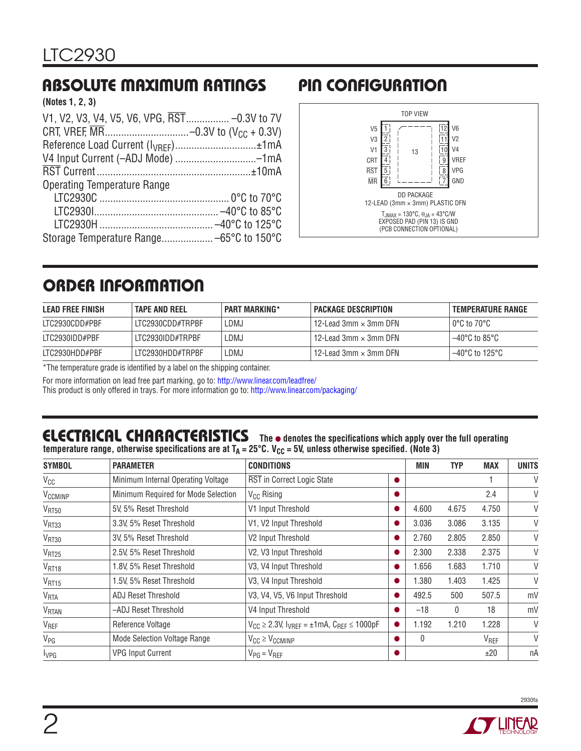# **ABSOLUTE MAXIMUM RATINGS PIN CONFIGURATION**

**(Notes 1, 2, 3)**

| V1, V2, V3, V4, V5, V6, VPG, RST -0.3V to 7V    |  |
|-------------------------------------------------|--|
|                                                 |  |
| Reference Load Current (I <sub>VRFF</sub> )±1mA |  |
| V4 Input Current (-ADJ Mode) --1mA              |  |
|                                                 |  |
| <b>Operating Temperature Range</b>              |  |
|                                                 |  |
|                                                 |  |
|                                                 |  |
|                                                 |  |



# **ORDER INFORMATION**

| LEAD FREE FINISH | <b>TAPE AND REEL</b> | <b>PART MARKING*</b> | <b>PACKAGE DESCRIPTION</b>            | <b>TEMPERATURE RANGE</b> |
|------------------|----------------------|----------------------|---------------------------------------|--------------------------|
| LTC2930CDD#PBF   | LTC2930CDD#TRPBF     | _DMJ                 | $112$ -Lead 3mm $\times$ 3mm DFN $\,$ | l 0°C to 70°C l          |
| ITC2930IDD#PBF   | ITC2930IDD#TRPBF     | _DMJ                 | $12$ -Lead 3mm $\times$ 3mm DFN       | l –40°C to 85°C l        |
| LTC2930HDD#PBF   | LTC2930HDD#TRPBF     | .DMJ                 | 12-Lead 3mm $\times$ 3mm DFN          | l –40°C to 125°C         |

\*The temperature grade is identified by a label on the shipping container.

For more information on lead free part marking, go to:<http://www.linear.com/leadfree/>

This product is only offered in trays. For more information go to:<http://www.linear.com/packaging/>

# **ELECTRICAL CHARACTERISTICS** The  $\bullet$  denotes the specifications which apply over the full operating

temperature range, otherwise specifications are at T<sub>A</sub> = 25°C. V<sub>CC</sub> = 5V, unless otherwise specified. (Note 3)

| <b>SYMBOL</b>           | <b>PARAMETER</b>                    | <b>CONDITIONS</b>                                               | MIN      | <b>TYP</b>   | <b>MAX</b>       | <b>UNITS</b> |
|-------------------------|-------------------------------------|-----------------------------------------------------------------|----------|--------------|------------------|--------------|
| $V_{CC}$                | Minimum Internal Operating Voltage  | RST in Correct Logic State                                      |          |              |                  | V            |
| V <sub>CCMINP</sub>     | Minimum Required for Mode Selection | $V_{CC}$ Rising                                                 |          |              | 2.4              | V            |
| V <sub>RT50</sub>       | 5V, 5% Reset Threshold              | V1 Input Threshold                                              | 4.600    | 4.675        | 4.750            | V            |
| V <sub>RT33</sub>       | 3.3V, 5% Reset Threshold            | V1, V2 Input Threshold                                          | 3.036    | 3.086        | 3.135            | $\vee$       |
| V <sub>RT30</sub>       | 3V, 5% Reset Threshold              | V2 Input Threshold                                              | 2.760    | 2.805        | 2.850            | V            |
| V <sub>RT25</sub>       | 2.5V, 5% Reset Threshold            | V2, V3 Input Threshold                                          | 2.300    | 2.338        | 2.375            | V            |
| V <sub>RT18</sub>       | 1.8V, 5% Reset Threshold            | V3, V4 Input Threshold                                          | 1.656    | 1.683        | 1.710            | V            |
| V <sub>RT15</sub>       | 1.5V, 5% Reset Threshold            | V3, V4 Input Threshold                                          | .380     | 1.403        | 1.425            | $\vee$       |
| V <sub>RTA</sub>        | <b>ADJ Reset Threshold</b>          | V3, V4, V5, V6 Input Threshold                                  | 492.5    | 500          | 507.5            | mV           |
| <b>V<sub>RTAN</sub></b> | -ADJ Reset Threshold                | V4 Input Threshold                                              | $-18$    | $\mathbf{0}$ | 18               | mV           |
| V <sub>REF</sub>        | Reference Voltage                   | $V_{CC} \ge 2.3$ V, $I_{VREF} = \pm 1$ mA, $C_{REF} \le 1000pF$ | 1.192    | 1.210        | 1.228            | V            |
| $V_{PG}$                | <b>Mode Selection Voltage Range</b> | $V_{CC} \geq V_{CCMINP}$                                        | $\Omega$ |              | V <sub>REF</sub> | V            |
| <b>I</b> <sub>VPG</sub> | <b>VPG Input Current</b>            | $V_{PG} = V_{REF}$                                              |          |              | ±20              | пA           |



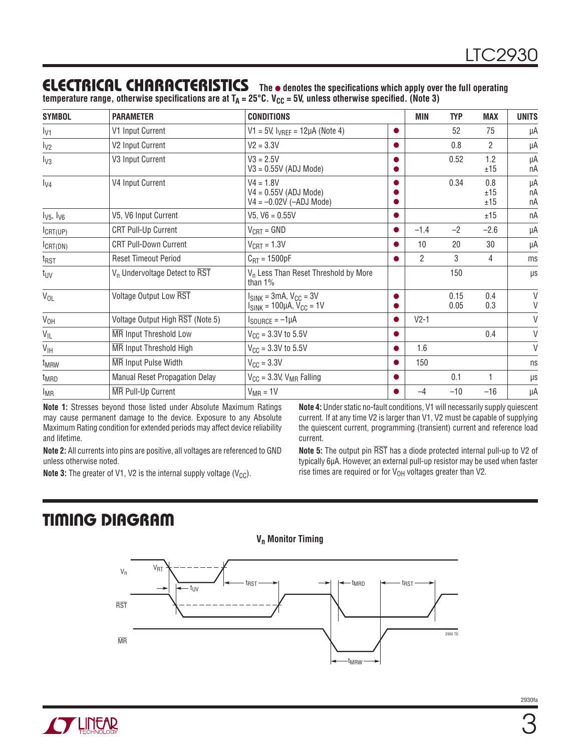### **ELECTRICAL CHARACTERISTICS The** ● **denotes the specifi cations which apply over the full operating**

temperature range, otherwise specifications are at T<sub>A</sub> = 25°C. V<sub>CC</sub> = 5V, unless otherwise specified. (Note 3)

| <b>SYMBOL</b>       | <b>PARAMETER</b>                                     | <b>CONDITIONS</b>                                                   |           | MIN            | <b>TYP</b>   | <b>MAX</b>        | <b>UNITS</b>   |
|---------------------|------------------------------------------------------|---------------------------------------------------------------------|-----------|----------------|--------------|-------------------|----------------|
| $I_{V1}$            | V1 Input Current                                     | $V1 = 5V$ , $I_{VRFF} = 12\mu A$ (Note 4)                           |           |                | 52           | 75                | μA             |
| $I_{V2}$            | V2 Input Current                                     | $V2 = 3.3V$                                                         |           |                | 0.8          | $\overline{2}$    | μA             |
| $I_{V3}$            | V3 Input Current                                     | $V3 = 2.5V$<br>$V3 = 0.55V$ (ADJ Mode)                              |           |                | 0.52         | 1.2<br>±15        | μA<br>nA       |
| $I_{V4}$            | V4 Input Current                                     | $V4 = 1.8V$<br>$V4 = 0.55V$ (ADJ Mode)<br>$V4 = -0.02V$ (-ADJ Mode) |           |                | 0.34         | 0.8<br>±15<br>±15 | μA<br>пA<br>nA |
| $I_{V5}$ , $I_{V6}$ | V5, V6 Input Current                                 | $V5, V6 = 0.55V$                                                    |           |                |              | ±15               | пA             |
| $I_{CRT(UP)}$       | <b>CRT Pull-Up Current</b>                           | $V_{CRT} = GND$                                                     | $\bullet$ | $-1.4$         | $-2$         | $-2.6$            | μA             |
| $I_{CRT(DN)}$       | <b>CRT Pull-Down Current</b>                         | $V_{\text{CRT}} = 1.3V$                                             |           | 10             | 20           | 30                | μA             |
| $t_{RST}$           | <b>Reset Timeout Period</b>                          | $C_{\text{RT}} = 1500pF$                                            |           | $\overline{2}$ | 3            | 4                 | ms             |
| t <sub>UV</sub>     | $V_n$ Undervoltage Detect to $\overline{\text{RST}}$ | V <sub>n</sub> Less Than Reset Threshold by More<br>than $1\%$      |           |                | 150          |                   | μs             |
| $V_{OL}$            | Voltage Output Low RST                               | $I_{SINK}$ = 3mA, $V_{CC}$ = 3V<br>$ISINK = 100\muA, VCC = 1V$      |           |                | 0.15<br>0.05 | 0.4<br>0.3        | $\vee$<br>V    |
| $V_{OH}$            | Voltage Output High RST (Note 5)                     | $I_{\text{SOURCE}} = -1 \mu A$                                      | ●         | $V2-1$         |              |                   | V              |
| $V_{IL}$            | <b>MR</b> Input Threshold Low                        | $V_{\text{CC}} = 3.3V$ to 5.5V                                      |           |                |              | 0.4               | V              |
| $V_{\text{IH}}$     | MR Input Threshold High                              | $V_{\text{CC}} = 3.3V$ to 5.5V                                      |           | 1.6            |              |                   | V              |
| t <sub>MRW</sub>    | <b>MR</b> Input Pulse Width                          | $V_{\text{CC}} = 3.3V$                                              |           | 150            |              |                   | ns             |
| t <sub>MRD</sub>    | Manual Reset Propagation Delay                       | $V_{CC}$ = 3.3V, $V_{MR}$ Falling                                   |           |                | 0.1          | 1                 | $\mu$ s        |
| $I_{MR}$            | <b>MR</b> Pull-Up Current                            | $V_{MR} = 1V$                                                       |           | $-4$           | $-10$        | $-16$             | μA             |

**Note 1:** Stresses beyond those listed under Absolute Maximum Ratings may cause permanent damage to the device. Exposure to any Absolute Maximum Rating condition for extended periods may affect device reliability and lifetime.

**Note 2:** All currents into pins are positive, all voltages are referenced to GND unless otherwise noted.

**Note 3:** The greater of V1, V2 is the internal supply voltage  $(V_{CC})$ .

**Note 4:** Under static no-fault conditions, V1 will necessarily supply quiescent current. If at any time V2 is larger than V1, V2 must be capable of supplying the quiescent current, programming (transient) current and reference load current.

**Note 5:** The output pin RST has a diode protected internal pull-up to V2 of typically 6μA. However, an external pull-up resistor may be used when faster rise times are required or for  $V_{OH}$  voltages greater than V2.

# **TIMING DIAGRAM**



**V<sub>n</sub>** Monitor Timing

**TUNEAR**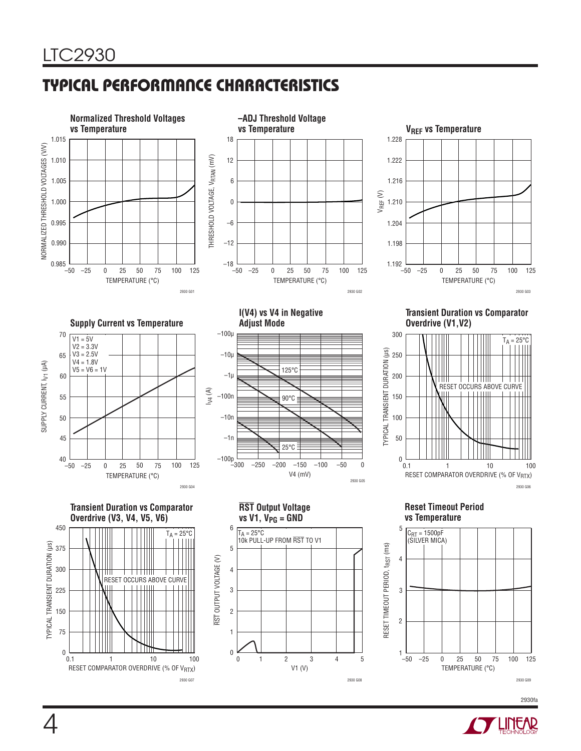# **TYPICAL PERFORMANCE CHARACTERISTICS**



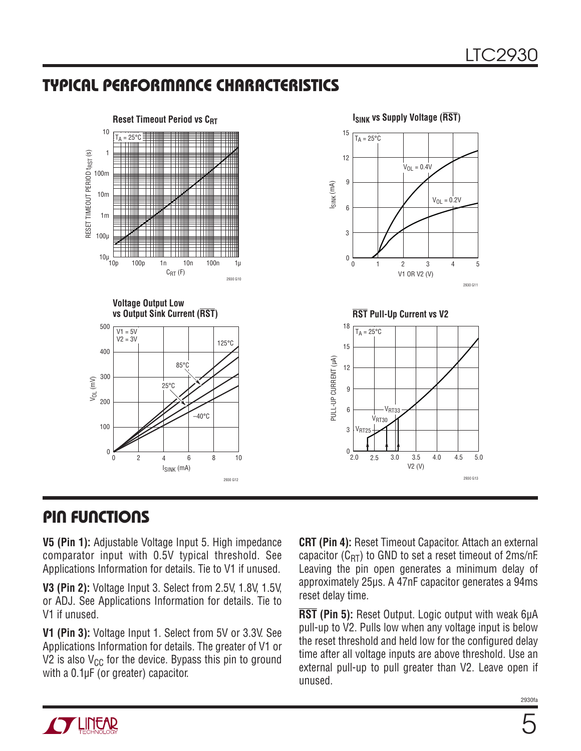### **TYPICAL PERFORMANCE CHARACTERISTICS**



### **PIN FUNCTIONS**

**V5 (Pin 1):** Adjustable Voltage Input 5. High impedance comparator input with 0.5V typical threshold. See Applications Information for details. Tie to V1 if unused.

**V3 (Pin 2):** Voltage Input 3. Select from 2.5V, 1.8V, 1.5V, or ADJ. See Applications Information for details. Tie to V1 if unused.

**V1 (Pin 3):** Voltage Input 1. Select from 5V or 3.3V. See Applications Information for details. The greater of V1 or V2 is also  $V_{CC}$  for the device. Bypass this pin to ground with a 0.1μF (or greater) capacitor.

**CRT (Pin 4):** Reset Timeout Capacitor. Attach an external capacitor ( $C_{RT}$ ) to GND to set a reset timeout of 2ms/nF. Leaving the pin open generates a minimum delay of approximately 25μs. A 47nF capacitor generates a 94ms reset delay time.

**RST (Pin 5):** Reset Output. Logic output with weak 6μA pull-up to V2. Pulls low when any voltage input is below the reset threshold and held low for the configured delay time after all voltage inputs are above threshold. Use an external pull-up to pull greater than V2. Leave open if unused.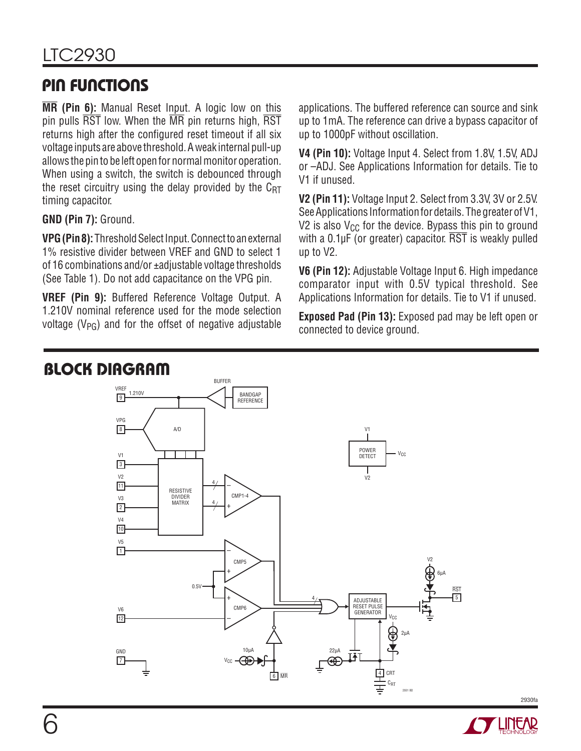# **PIN FUNCTIONS**

**MR (Pin 6):** Manual Reset Input. A logic low on this pin pulls RST low. When the MR pin returns high, RST returns high after the configured reset timeout if all six voltage inputs are above threshold. A weak internal pull-up allows the pin to be left open for normal monitor operation. When using a switch, the switch is debounced through the reset circuitry using the delay provided by the  $C_{\text{RT}}$ timing capacitor.

### **GND (Pin 7):** Ground.

**VPG (Pin 8):** Threshold Select Input. Connect to an external 1% resistive divider between VREF and GND to select 1 of 16 combinations and/or ±adjustable voltage thresholds (See Table 1). Do not add capacitance on the VPG pin.

**VREF (Pin 9):** Buffered Reference Voltage Output. A 1.210V nominal reference used for the mode selection voltage  $(V_{PG})$  and for the offset of negative adjustable applications. The buffered reference can source and sink up to 1mA. The reference can drive a bypass capacitor of up to 1000pF without oscillation.

**V4 (Pin 10):** Voltage Input 4. Select from 1.8V, 1.5V, ADJ or –ADJ. See Applications Information for details. Tie to V1 if unused.

**V2 (Pin 11):** Voltage Input 2. Select from 3.3V, 3V or 2.5V. See Applications Information for details. The greater of V1, V2 is also  $V_{CC}$  for the device. Bypass this pin to ground with a  $0.1 \mu$ F (or greater) capacitor.  $\overline{RST}$  is weakly pulled up to V2.

**V6 (Pin 12):** Adjustable Voltage Input 6. High impedance comparator input with 0.5V typical threshold. See Applications Information for details. Tie to V1 if unused.

**Exposed Pad (Pin 13):** Exposed pad may be left open or connected to device ground.





2930fa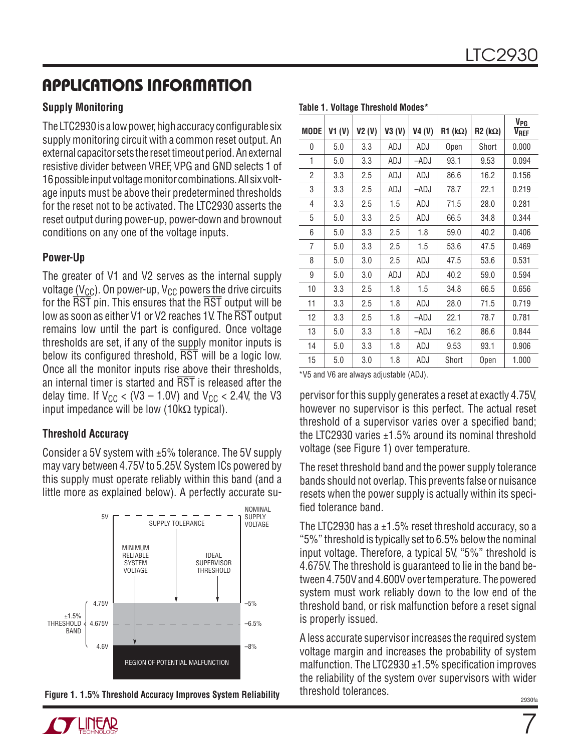#### **Supply Monitoring**

The LTC2930 is a low power, high accuracy configurable six supply monitoring circuit with a common reset output. An external capacitor sets the reset timeout period. An external resistive divider between VREF, VPG and GND selects 1 of 16 possible input voltage monitor combinations. All six voltage inputs must be above their predetermined thresholds for the reset not to be activated. The LTC2930 asserts the reset output during power-up, power-down and brownout conditions on any one of the voltage inputs.

#### **Power-Up**

The greater of V1 and V2 serves as the internal supply voltage ( $V_{CC}$ ). On power-up,  $V_{CC}$  powers the drive circuits for the RST pin. This ensures that the RST output will be low as soon as either V1 or V2 reaches 1V. The RST output remains low until the part is configured. Once voltage thresholds are set, if any of the supply monitor inputs is below its configured threshold,  $\overline{\text{RST}}$  will be a logic low. Once all the monitor inputs rise above their thresholds, an internal timer is started and  $\overline{\text{RST}}$  is released after the delay time. If  $V_{CC}$  < (V3 – 1.0V) and  $V_{CC}$  < 2.4V, the V3 input impedance will be low (10k $\Omega$  typical).

#### **Threshold Accuracy**

Consider a 5V system with  $\pm 5\%$  tolerance. The 5V supply may vary between 4.75V to 5.25V. System ICs powered by this supply must operate reliably within this band (and a little more as explained below). A perfectly accurate su-





| <b>MODE</b> | VI (V) | V2(V) | V3(V) | V4 (V) | $R1$ (k $\Omega$ ) | $R2$ (k $\Omega$ ) | $V_{\underline{PG}}$<br>$V_{REF}$ |
|-------------|--------|-------|-------|--------|--------------------|--------------------|-----------------------------------|
| 0           | 5.0    | 3.3   | ADJ   | ADJ    | Open               | Short              | 0.000                             |
| 1           | 5.0    | 3.3   | ADJ   | –ADJ   | 93.1               | 9.53               | 0.094                             |
| 2           | 3.3    | 2.5   | ADJ   | ADJ    | 86.6               | 16.2               | 0.156                             |
| 3           | 3.3    | 2.5   | ADJ   | -ADJ   | 78.7               | 22.1               | 0.219                             |
| 4           | 3.3    | 2.5   | 1.5   | ADJ    | 71.5               | 28.0               | 0.281                             |
| 5           | 5.0    | 3.3   | 2.5   | ADJ    | 66.5               | 34.8               | 0.344                             |
| 6           | 5.0    | 3.3   | 2.5   | 1.8    | 59.0               | 40.2               | 0.406                             |
| 7           | 5.0    | 3.3   | 2.5   | 1.5    | 53.6               | 47.5               | 0.469                             |
| 8           | 5.0    | 3.0   | 2.5   | ADJ    | 47.5               | 53.6               | 0.531                             |
| 9           | 5.0    | 3.0   | ADJ   | ADJ    | 40.2               | 59.0               | 0.594                             |
| 10          | 3.3    | 2.5   | 1.8   | 1.5    | 34.8               | 66.5               | 0.656                             |
| 11          | 3.3    | 2.5   | 1.8   | ADJ    | 28.0               | 71.5               | 0.719                             |
| 12          | 3.3    | 2.5   | 1.8   | –ADJ   | 22.1               | 78.7               | 0.781                             |
| 13          | 5.0    | 3.3   | 1.8   | –ADJ   | 16.2               | 86.6               | 0.844                             |
| 14          | 5.0    | 3.3   | 1.8   | ADJ    | 9.53               | 93.1               | 0.906                             |
| 15          | 5.0    | 3.0   | 1.8   | ADJ    | Short              | Open               | 1.000                             |

**Table 1. Voltage Threshold Modes\***

\*V5 and V6 are always adjustable (ADJ).

pervisor for this supply generates a reset at exactly 4.75V, however no supervisor is this perfect. The actual reset threshold of a supervisor varies over a specified band; the LTC2930 varies  $\pm 1.5$ % around its nominal threshold voltage (see Figure 1) over temperature.

The reset threshold band and the power supply tolerance bands should not overlap. This prevents false or nuisance resets when the power supply is actually within its specified tolerance band.

The LTC2930 has  $a \pm 1.5$ % reset threshold accuracy, so a "5%" threshold is typically set to 6.5% below the nominal input voltage. Therefore, a typical 5V, "5%" threshold is 4.675V. The threshold is guaranteed to lie in the band between 4.750V and 4.600V over temperature. The powered system must work reliably down to the low end of the threshold band, or risk malfunction before a reset signal is properly issued.

A less accurate supervisor increases the required system voltage margin and increases the probability of system malfunction. The LTC2930  $\pm$ 1.5% specification improves the reliability of the system over supervisors with wider threshold tolerances.



7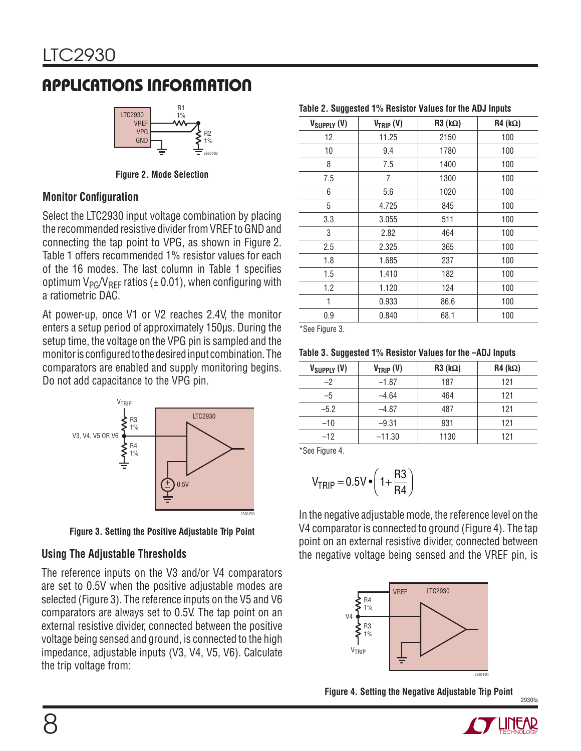

**Figure 2. Mode Selection**

#### **Monitor Configuration**

Select the LTC2930 input voltage combination by placing the recommended resistive divider from VREF to GND and connecting the tap point to VPG, as shown in Figure 2. Table 1 offers recommended 1% resistor values for each of the 16 modes. The last column in Table 1 specifies optimum  $V_{PG}/V_{REF}$  ratios ( $\pm$  0.01), when configuring with a ratiometric DAC.

At power-up, once V1 or V2 reaches 2.4V, the monitor enters a setup period of approximately 150μs. During the setup time, the voltage on the VPG pin is sampled and the monitor is configured to the desired input combination. The comparators are enabled and supply monitoring begins. Do not add capacitance to the VPG pin.



**Figure 3. Setting the Positive Adjustable Trip Point**

### **Using The Adjustable Thresholds**

The reference inputs on the V3 and/or V4 comparators are set to 0.5V when the positive adjustable modes are selected (Figure 3). The reference inputs on the V5 and V6 comparators are always set to 0.5V. The tap point on an external resistive divider, connected between the positive voltage being sensed and ground, is connected to the high impedance, adjustable inputs (V3, V4, V5, V6). Calculate the trip voltage from:

| V <sub>SUPPLY</sub> (V) | $V_{TRIP} (V)$ | $R3(k\Omega)$ | $R4 (k\Omega)$ |
|-------------------------|----------------|---------------|----------------|
| 12                      | 11.25          | 2150          | 100            |
| 10                      | 9.4            | 1780          | 100            |
| 8                       | 7.5            | 1400          | 100            |
| 7.5                     | 7              | 1300          | 100            |
| 6                       | 5.6            | 1020          | 100            |
| 5                       | 4.725          | 845           | 100            |
| 3.3                     | 3.055          | 511           | 100            |
| 3                       | 2.82           | 464           | 100            |
| 2.5                     | 2.325          | 365           | 100            |
| 1.8                     | 1.685          | 237           | 100            |
| 1.5                     | 1.410          | 182           | 100            |
| 1.2                     | 1.120          | 124           | 100            |
| 1                       | 0.933          | 86.6          | 100            |
| 0.9                     | 0.840          | 68.1          | 100            |

ee Figure 3.

| Table 3. Suggested 1% Resistor Values for the -ADJ Inputs |  |  |  |
|-----------------------------------------------------------|--|--|--|
|-----------------------------------------------------------|--|--|--|

| $V_{SUPPLY}$ (V) | $V_{TRIP} (V)$ | $R3(k\Omega)$ | $R4$ (k $\Omega$ ) |
|------------------|----------------|---------------|--------------------|
| -2               | $-1.87$        | 187           | 121                |
| -5               | $-4.64$        | 464           | 121                |
| $-5.2$           | $-4.87$        | 487           | 121                |
| $-10$            | $-9.31$        | 931           | 121                |
| $-12$            | $-11.30$       | 1130          | 121                |

\*See Figure 4.

$$
V_{TRIP} = 0.5V \cdot \left(1 + \frac{R3}{R4}\right)
$$

In the negative adjustable mode, the reference level on the V4 comparator is connected to ground (Figure 4). The tap point on an external resistive divider, connected between the negative voltage being sensed and the VREF pin, is



**Figure 4. Setting the Negative Adjustable Trip Point**



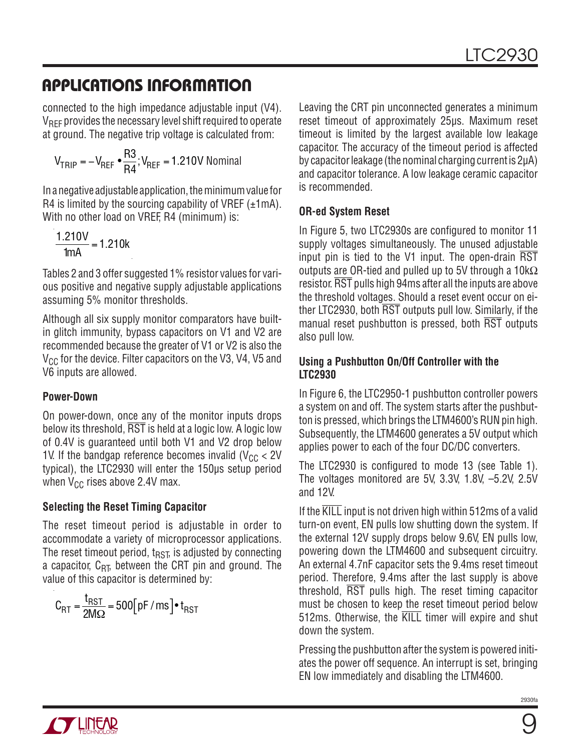connected to the high impedance adjustable input (V4). VREF provides the necessary level shift required to operate at ground. The negative trip voltage is calculated from:

$$
V_{TRIP} = -V_{REF} \cdot \frac{R3}{R4}; V_{REF} = 1.210V \text{ Nominal}
$$

In a negative adjustable application, the minimum value for R4 is limited by the sourcing capability of VREF  $(\pm 1 \text{ mA})$ . With no other load on VREF, R4 (minimum) is:

$$
\frac{1.210V}{1mA} = 1.210k
$$

Tables 2 and 3 offer suggested 1% resistor values for various positive and negative supply adjustable applications assuming 5% monitor thresholds.

Although all six supply monitor comparators have builtin glitch immunity, bypass capacitors on V1 and V2 are recommended because the greater of V1 or V2 is also the  $V_{CC}$  for the device. Filter capacitors on the V3, V4, V5 and V6 inputs are allowed.

#### **Power-Down**

On power-down, once any of the monitor inputs drops below its threshold,  $\overline{\text{RST}}$  is held at a logic low. A logic low of 0.4V is guaranteed until both V1 and V2 drop below 1V. If the bandgap reference becomes invalid ( $V_{CC}$  < 2V typical), the LTC2930 will enter the 150μs setup period when  $V_{CC}$  rises above 2.4V max.

#### **Selecting the Reset Timing Capacitor**

The reset timeout period is adjustable in order to accommodate a variety of microprocessor applications. The reset timeout period,  $t_{RST}$  is adjusted by connecting a capacitor,  $C_{\text{RT}}$ , between the CRT pin and ground. The value of this capacitor is determined by:

$$
C_{RT} = \frac{t_{RST}}{2M\Omega} = 500[pF/ms] \cdot t_{RST}
$$

Leaving the CRT pin unconnected generates a minimum reset timeout of approximately 25μs. Maximum reset timeout is limited by the largest available low leakage capacitor. The accuracy of the timeout period is affected by capacitor leakage (the nominal charging current is 2μA) and capacitor tolerance. A low leakage ceramic capacitor is recommended.

### **OR-ed System Reset**

In Figure 5, two LTC2930s are configured to monitor 11 supply voltages simultaneously. The unused adjustable input pin is tied to the V1 input. The open-drain RST outputs are OR-tied and pulled up to 5V through a  $10k\Omega$ resistor. RST pulls high 94ms after all the inputs are above the threshold voltages. Should a reset event occur on either LTC2930, both RST outputs pull low. Similarly, if the manual reset pushbutton is pressed, both RST outputs also pull low.

#### **Using a Pushbutton On/Off Controller with the LTC2930**

In Figure 6, the LTC2950-1 pushbutton controller powers a system on and off. The system starts after the pushbutton is pressed, which brings the LTM4600's RUN pin high. Subsequently, the LTM4600 generates a 5V output which applies power to each of the four DC/DC converters.

The LTC2930 is configured to mode 13 (see Table 1). The voltages monitored are 5V, 3.3V, 1.8V, –5.2V, 2.5V and 12V.

If the KILL input is not driven high within 512ms of a valid turn-on event, EN pulls low shutting down the system. If the external 12V supply drops below 9.6V, EN pulls low, powering down the LTM4600 and subsequent circuitry. An external 4.7nF capacitor sets the 9.4ms reset timeout period. Therefore, 9.4ms after the last supply is above threshold, RST pulls high. The reset timing capacitor must be chosen to keep the reset timeout period below 512ms. Otherwise, the KILL timer will expire and shut down the system.

Pressing the pushbutton after the system is powered initiates the power off sequence. An interrupt is set, bringing EN low immediately and disabling the LTM4600.

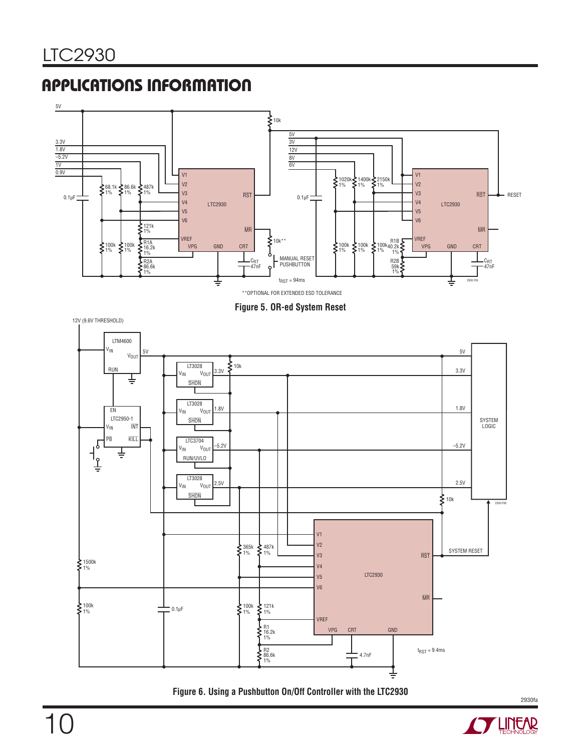

**Figure 5. OR-ed System Reset**



**Figure 6. Using a Pushbutton On/Off Controller with the LTC2930**



2930fa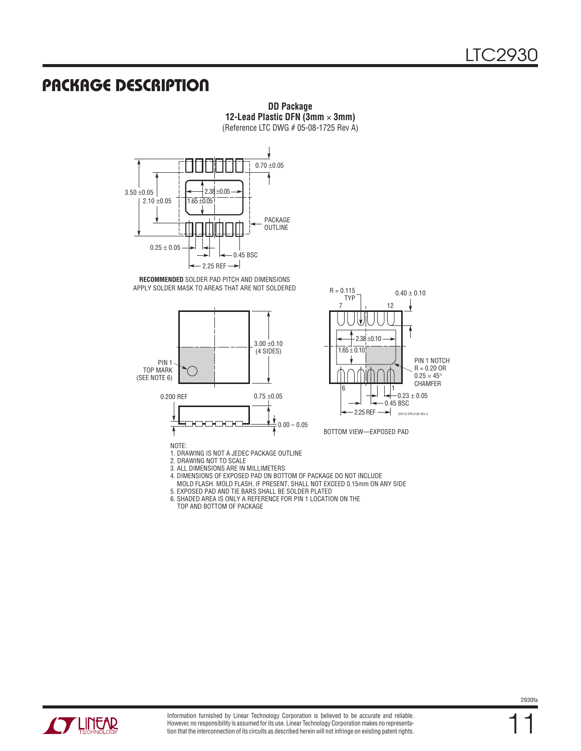### **PACKAGE DESCRIPTION**



**DD Package 12-Lead Plastic DFN (3mm** × **3mm)** (Reference LTC DWG # 05-08-1725 Rev A)



4. DIMENSIONS OF EXPOSED PAD ON BOTTOM OF PACKAGE DO NOT INCLUDE

MOLD FLASH. MOLD FLASH, IF PRESENT, SHALL NOT EXCEED 0.15mm ON ANY SIDE

5. EXPOSED PAD AND TIE BARS SHALL BE SOLDER PLATED

6. SHADED AREA IS ONLY A REFERENCE FOR PIN 1 LOCATION ON THE

TOP AND BOTTOM OF PACKAGE



11